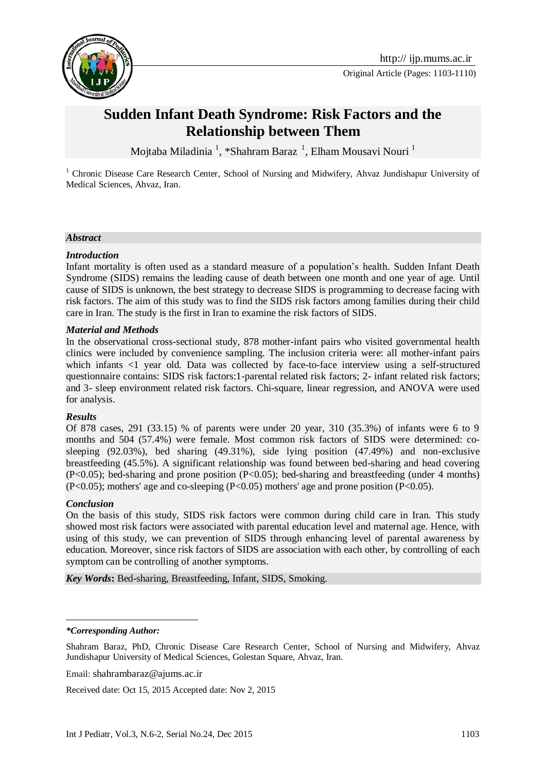

Original Article (Pages: 1103-1110)

# **Sudden Infant Death Syndrome: Risk Factors and the Relationship between Them**

Mojtaba Miladinia <sup>1</sup>, \*Shahram Baraz <sup>1</sup>, Elham Mousavi Nouri <sup>1</sup>

<sup>1</sup> Chronic Disease Care Research Center, School of Nursing and Midwifery, Ahvaz Jundishapur University of Medical Sciences, Ahvaz, Iran.

#### *Abstract*

#### *Introduction*

Infant mortality is often used as a standard measure of a population's health. Sudden Infant Death Syndrome (SIDS) remains the leading cause of death between one month and one year of age. Until cause of SIDS is unknown, the best strategy to decrease SIDS is programming to decrease facing with risk factors. The aim of this study was to find the SIDS risk factors among families during their child care in Iran. The study is the first in Iran to examine the risk factors of SIDS.

#### *Material and Methods*

In the observational cross-sectional study, 878 mother-infant pairs who visited governmental health clinics were included by convenience sampling. The inclusion criteria were: all mother-infant pairs which infants <1 year old. Data was collected by face-to-face interview using a self-structured questionnaire contains: SIDS risk factors:1-parental related risk factors; 2- infant related risk factors; and 3- sleep environment related risk factors. Chi-square, linear regression, and ANOVA were used for analysis.

#### *Results*

Of 878 cases, 291 (33.15) % of parents were under 20 year, 310 (35.3%) of infants were 6 to 9 months and 504 (57.4%) were female. Most common risk factors of SIDS were determined: cosleeping (92.03%), bed sharing (49.31%), side lying position (47.49%) and non-exclusive breastfeeding (45.5%). A significant relationship was found between bed-sharing and head covering (P<0.05); bed-sharing and prone position (P<0.05); bed-sharing and breastfeeding (under 4 months) (P<0.05); mothers' age and co-sleeping (P<0.05) mothers' age and prone position (P<0.05).

#### *Conclusion*

<u>.</u>

On the basis of this study, SIDS risk factors were common during child care in Iran. This study showed most risk factors were associated with parental education level and maternal age. Hence, with using of this study, we can prevention of SIDS through enhancing level of parental awareness by education. Moreover, since risk factors of SIDS are association with each other, by controlling of each symptom can be controlling of another symptoms.

*Key Words***:** Bed-sharing, Breastfeeding, Infant, SIDS, Smoking.

Email: [shahrambaraz@ajums.ac.ir](mailto:shahrambaraz@ajums.ac.ir)

Received date: Oct 15, 2015 Accepted date: Nov 2, 2015

*<sup>\*</sup>Corresponding Author:*

Shahram Baraz, PhD, Chronic Disease Care Research Center, School of Nursing and Midwifery, Ahvaz Jundishapur University of Medical Sciences, Golestan Square, Ahvaz, Iran.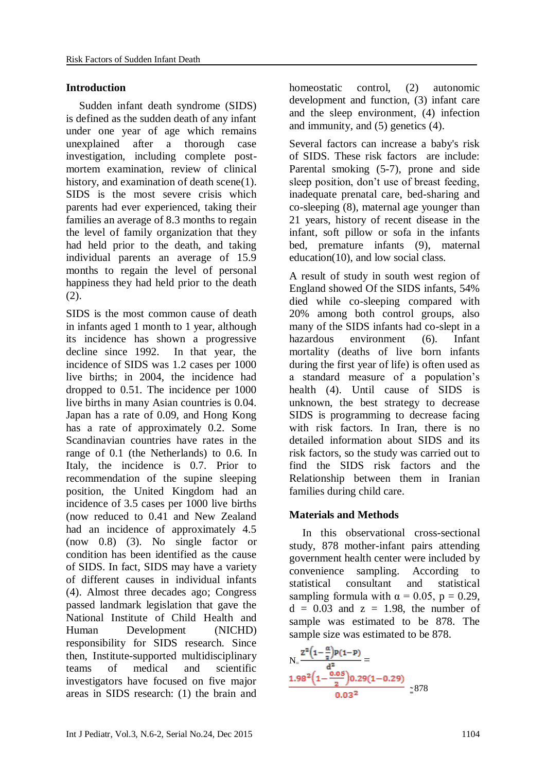### **Introduction**

Sudden infant death syndrome (SIDS) is defined as the sudden death of any infant under one year of age which remains unexplained after a thorough case investigation, including complete postmortem examination, review of clinical history, and examination of death scene(1). SIDS is the most severe crisis which parents had ever experienced, taking their families an average of 8.3 months to regain the level of family organization that they had held prior to the death, and taking individual parents an average of 15.9 months to regain the level of personal happiness they had held prior to the death (2).

SIDS is the most common cause of death in infants aged 1 month to 1 year, although its incidence has shown a progressive decline since 1992. In that year, the incidence of SIDS was 1.2 cases per 1000 live births; in 2004, the incidence had dropped to 0.51. The incidence per 1000 live births in many Asian countries is 0.04. Japan has a rate of 0.09, and Hong Kong has a rate of approximately 0.2. Some Scandinavian countries have rates in the range of 0.[1](javascript:showrefcontent() (the Netherlands) to 0.6. In Italy, the incidence is 0.7. Prior to recommendation of the supine sleeping position, the United Kingdom had an incidence of 3.5 cases per 1000 live births (now reduced to 0.41 and New Zealand had an incidence of approximately 4.5 (now 0.8) (3). No single factor or condition has been identified as the cause of SIDS. In fact, SIDS may have a variety of different causes in individual infants (4). Almost three decades ago; Congress passed landmark legislation that gave the National Institute of Child Health and Human Development (NICHD) responsibility for SIDS research. Since then, Institute-supported multidisciplinary teams of medical and scientific investigators have focused on five major areas in SIDS research: (1) the brain and homeostatic control, (2) autonomic development and function, (3) infant care and the sleep environment, (4) infection and immunity, and (5) genetics (4).

Several factors can increase a baby's risk of SIDS. These risk factors are include: Parental smoking (5-7), prone and side sleep position, don't use of breast feeding, inadequate prenatal care, bed-sharing and co-sleeping (8), maternal age younger than 21 years, history of recent disease in the infant, soft pillow or sofa in the infants bed, premature infants (9), maternal education(10), and low social class.

A result of study in south west region of England showed Of the SIDS infants, 54% died while co-sleeping compared with 20% among both control groups, also many of the SIDS infants had co-slept in a hazardous environment (6). Infant mortality (deaths of live born infants during the first year of life) is often used as a standard measure of a population's health (4). Until cause of SIDS is unknown, the best strategy to decrease SIDS is programming to decrease facing with risk factors. In Iran, there is no detailed information about SIDS and its risk factors, so the study was carried out to find the SIDS risk factors and the Relationship between them in Iranian families during child care.

# **Materials and Methods**

In this observational cross-sectional study, 878 mother-infant pairs attending government health center were included by convenience sampling. According to statistical consultant and statistical sampling formula with  $\alpha = 0.05$ ,  $p = 0.29$ ,  $d = 0.03$  and  $z = 1.98$ , the number of sample was estimated to be 878. The sample size was estimated to be 878.

$$
N_{=}\frac{z^{2}(1-\frac{\alpha}{2})P(1-P)}{d^{2}} = \frac{1.98^{2}(1-\frac{0.05}{2})0.29(1-0.29)}{0.03^{2}} \approx 878
$$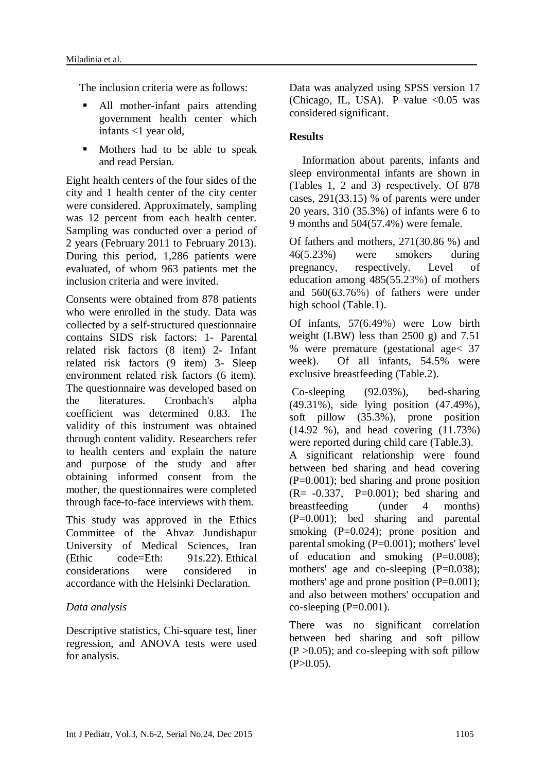The inclusion criteria were as follows:

- All mother-infant pairs attending government health center which infants <1 year old,
- **Mothers had to be able to speak** and read Persian.

Eight health centers of the four sides of the city and 1 health center of the city center were considered. Approximately, sampling was 12 percent from each health center. Sampling was conducted over a period of 2 years (February 2011 to February 2013). During this period, 1,286 patients were evaluated, of whom 963 patients met the inclusion criteria and were invited.

Consents were obtained from 878 patients who were enrolled in the study. Data was collected by a self-structured questionnaire contains SIDS risk factors: 1- Parental related risk factors (8 item) 2- Infant related risk factors (9 item) 3- Sleep environment related risk factors (6 item). The questionnaire was developed based on the literatures. Cronbach's alpha coefficient was determined 0.83. The validity of this instrument was obtained through content validity. Researchers refer to health centers and explain the nature and purpose of the study and after obtaining informed consent from the mother, the questionnaires were completed through face-to-face interviews with them.

This study was approved in the Ethics Committee of the Ahvaz Jundishapur University of Medical Sciences, Iran (Ethic code=Eth: 91s.22). Ethical considerations were considered in accordance with the Helsinki Declaration.

# *Data analysis*

Descriptive statistics, Chi-square test, liner regression, and ANOVA tests were used for analysis.

Data was analyzed using SPSS version 17 (Chicago, IL, USA). P value  $\leq 0.05$  was considered significant.

# **Results**

Information about parents, infants and sleep environmental infants are shown in (Tables 1, 2 and 3) respectively. Of 878 cases, 291(33.15) % of parents were under 20 years, 310 (35.3%) of infants were 6 to 9 months and 504(57.4%) were female.

Of fathers and mothers, 271(30.86 %) and 46(5.23%) were smokers during pregnancy, respectively. Level of education among 485(55.23%) of mothers and 560(63.76%) of fathers were under high school (Table.1).

Of infants, 57(6.49%) were Low birth weight (LBW) less than 2500 g) and 7.51 % were premature (gestational age< 37 week). Of all infants, 54.5% were exclusive breastfeeding (Table.2).

Co-sleeping (92.03%), bed-sharing (49.31%), side lying position (47.49%), soft pillow (35.3%), prone position (14.92 %), and head covering (11.73%) were reported during child care (Table.3). A significant relationship were found between bed sharing and head covering (P=0.001); bed sharing and prone position  $(R = -0.337, P = 0.001)$ ; bed sharing and breastfeeding (under 4 months) (P=0.001); bed sharing and parental smoking (P=0.024); prone position and parental smoking (P=0.001); mothers' level of education and smoking  $(P=0.008)$ ; mothers' age and co-sleeping (P=0.038); mothers' age and prone position  $(P=0.001)$ ; and also between mothers' occupation and  $co-sleeping (P=0.001)$ .

There was no significant correlation between bed sharing and soft pillow  $(P > 0.05)$ ; and co-sleeping with soft pillow  $(P>0.05)$ .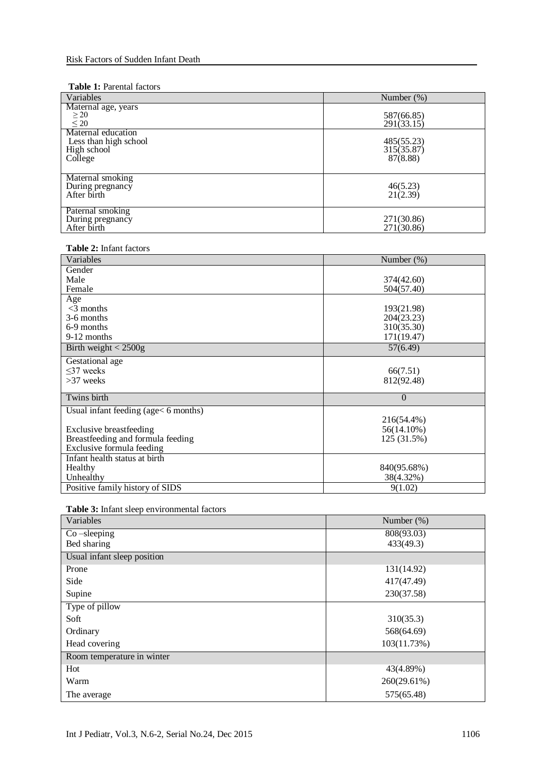#### **Table 1:** Parental factors

| Variables                                                             | Number $(\%)$                        |
|-----------------------------------------------------------------------|--------------------------------------|
| Maternal age, years<br>$\geq 20$<br>$\leq 20$                         | 587(66.85)<br>291(33.15)             |
| Maternal education<br>Less than high school<br>High school<br>College | 485(55.23)<br>315(35.87)<br>87(8.88) |
| Maternal smoking<br>During pregnancy<br>After birth                   | 46(5.23)<br>21(2.39)                 |
| Paternal smoking<br>During pregnancy<br>After birth                   | 271(30.86)<br>271(30.86)             |

#### **Table 2:** Infant factors

| Variables                            | Number $(\%)$  |
|--------------------------------------|----------------|
| Gender                               |                |
| Male                                 | 374(42.60)     |
| Female                               | 504(57.40)     |
| Age                                  |                |
| $<$ 3 months                         | 193(21.98)     |
| 3-6 months                           | 204(23.23)     |
| 6-9 months                           | 310(35.30)     |
| 9-12 months                          | 171(19.47)     |
| Birth weight $<$ 2500g               | 57(6.49)       |
| Gestational age                      |                |
| $\leq$ 37 weeks                      | 66(7.51)       |
| $>37$ weeks                          | 812(92.48)     |
| Twins birth                          | $\overline{0}$ |
| Usual infant feeding (age< 6 months) |                |
|                                      | 216(54.4%)     |
| <b>Exclusive breastfeeding</b>       | 56(14.10%)     |
| Breastfeeding and formula feeding    | 125 (31.5%)    |
| Exclusive formula feeding            |                |
| Infant health status at birth        |                |
| Healthy                              | 840(95.68%)    |
| Unhealthy                            | 38(4.32%)      |
| Positive family history of SIDS      | 9(1.02)        |

#### **Table 3:** Infant sleep environmental factors

| Variables                   | Number (%)  |
|-----------------------------|-------------|
| $Co$ -sleeping              | 808(93.03)  |
| Bed sharing                 | 433(49.3)   |
| Usual infant sleep position |             |
| Prone                       | 131(14.92)  |
| Side                        | 417(47.49)  |
| Supine                      | 230(37.58)  |
| Type of pillow              |             |
| Soft                        | 310(35.3)   |
| Ordinary                    | 568(64.69)  |
| Head covering               | 103(11.73%) |
| Room temperature in winter  |             |
| Hot                         | 43(4.89%)   |
| Warm                        | 260(29.61%) |
| The average                 | 575(65.48)  |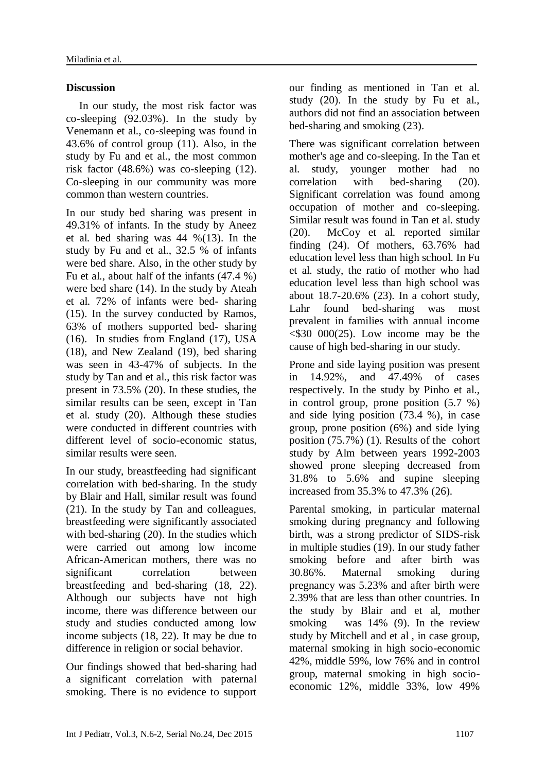# **Discussion**

In our study, the most risk factor was co-sleeping (92.03%). In the study by Venemann et al., co-sleeping was found in 43.6% of control group (11). Also, in the study by Fu and et al., the most common risk factor (48.6%) was co-sleeping (12). Co-sleeping in our community was more common than western countries.

In our study bed sharing was present in 49.31% of infants. In the study by Aneez et al. bed sharing was 44 %(13). In the study by Fu and et al., 32.5 % of infants were bed share. Also, in the other study by Fu et al., about half of the infants (47.4 %) were bed share (14). In the study by Ateah et al. 72% of infants were bed- sharing (15). In the survey conducted by Ramos, 63% of mothers supported bed- sharing (16). In studies from England (17), USA (18), and New Zealand (19), bed sharing was seen in 43-47% of subjects. In the study by Tan and et al., this risk factor was present in 73.5% (20). In these studies, the similar results can be seen, except in Tan et al. study (20). Although these studies were conducted in different countries with different level of socio-economic status, similar results were seen.

In our study, breastfeeding had significant correlation with bed-sharing. In the study by Blair and Hall, similar result was found (21). In the study by Tan and colleagues, breastfeeding were significantly associated with bed-sharing (20). In the studies which were carried out among low income African-American mothers, there was no significant correlation between breastfeeding and bed-sharing (18, 22). Although our subjects have not high income, there was difference between our study and studies conducted among low income subjects (18, 22). It may be due to difference in religion or social behavior.

Our findings showed that bed-sharing had a significant correlation with paternal smoking. There is no evidence to support our finding as mentioned in Tan et al. study (20). In the study by Fu et al., authors did not find an association between bed-sharing and smoking (23).

There was significant correlation between mother's age and co-sleeping. In the Tan et al. study, younger mother had no correlation with bed-sharing (20). Significant correlation was found among occupation of mother and co-sleeping. Similar result was found in Tan et al. study (20). McCoy et al. reported similar finding (24). Of mothers, 63.76% had education level less than high school. In Fu et al. study, the ratio of mother who had education level less than high school was about 18.7-20.6% (23). In a cohort study, Lahr found bed-sharing was most prevalent in families with annual income  $\leq$ \$30 000(25). Low income may be the cause of high bed-sharing in our study.

Prone and side laying position was present in 14.92%, and 47.49% of cases respectively. In the study by Pinho et al., in control group, prone position (5.7 %) and side lying position (73.4 %), in case group, prone position (6%) and side lying position (75.7%) (1). Results of the cohort study by Alm between years 1992-2003 showed prone sleeping decreased from 31.8% to 5.6% and supine sleeping increased from 35.3% to 47.3% (26).

Parental smoking, in particular maternal smoking during pregnancy and following birth, was a strong predictor of SIDS-risk in multiple studies (19). In our study father smoking before and after birth was 30.86%. Maternal smoking during pregnancy was 5.23% and after birth were 2.39% that are less than other countries. In the study by Blair and et al, mother smoking was 14% (9). In the review study by Mitchell and et al , in case group, maternal smoking in high socio-economic 42%, middle 59%, low 76% and in control group, maternal smoking in high socioeconomic 12%, middle 33%, low 49%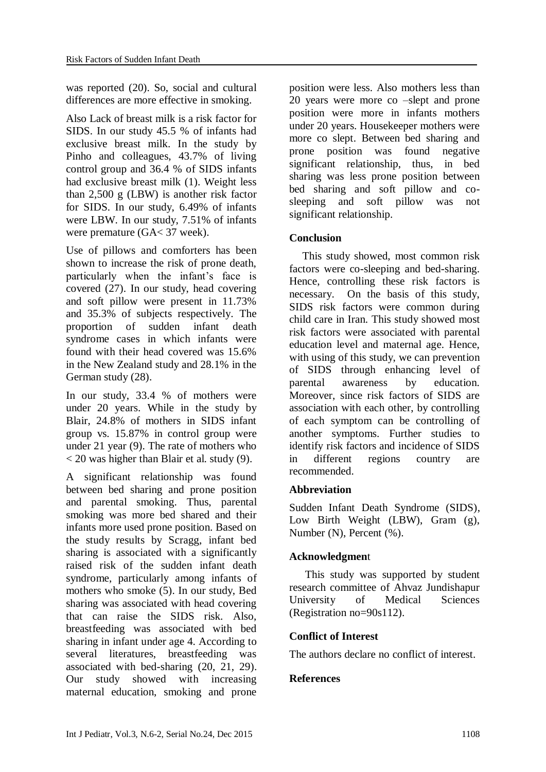was reported (20). So, social and cultural differences are more effective in smoking.

Also Lack of breast milk is a risk factor for SIDS. In our study 45.5 % of infants had exclusive breast milk. In the study by Pinho and colleagues, 43.7% of living control group and 36.4 % of SIDS infants had exclusive breast milk (1). Weight less than 2,500 g (LBW) is another risk factor for SIDS. In our study, 6.49% of infants were LBW. In our study, 7.51% of infants were premature (GA< 37 week).

Use of pillows and comforters has been shown to increase the risk of prone death, particularly when the infant's face is covered (27). In our study, head covering and soft pillow were present in 11.73% and 35.3% of subjects respectively. The proportion of sudden infant death syndrome cases in which infants were found with their head covered was 15.6% in the New Zealand study and 28.1% in the German study (28).

In our study, 33.4 % of mothers were under 20 years. While in the study by Blair, 24.8% of mothers in SIDS infant group vs. 15.87% in control group were under 21 year (9). The rate of mothers who  $\langle 20 \rangle$  was higher than Blair et al. study (9).

A significant relationship was found between bed sharing and prone position and parental smoking. Thus, parental smoking was more bed shared and their infants more used prone position. Based on the study results by Scragg, infant bed sharing is associated with a significantly raised risk of the sudden infant death syndrome, particularly among infants of mothers who smoke (5). In our study, Bed sharing was associated with head covering that can raise the SIDS risk. Also, breastfeeding was associated with bed sharing in infant under age 4. According to several literatures, breastfeeding was associated with bed-sharing (20, 21, 29). Our study showed with increasing maternal education, smoking and prone

position were less. Also mothers less than 20 years were more co –slept and prone position were more in infants mothers under 20 years. Housekeeper mothers were more co slept. Between bed sharing and prone position was found negative significant relationship, thus, in bed sharing was less prone position between bed sharing and soft pillow and cosleeping and soft pillow was not significant relationship.

### **Conclusion**

This study showed, most common risk factors were co-sleeping and bed-sharing. Hence, controlling these risk factors is necessary. On the basis of this study, SIDS risk factors were common during child care in Iran. This study showed most risk factors were associated with parental education level and maternal age. Hence, with using of this study, we can prevention of SIDS through enhancing level of parental awareness by education. Moreover, since risk factors of SIDS are association with each other, by controlling of each symptom can be controlling of another symptoms. Further studies to identify risk factors and incidence of SIDS in different regions country are recommended.

### **Abbreviation**

Sudden Infant Death Syndrome (SIDS), Low Birth Weight (LBW), Gram (g), Number (N), Percent (%).

### **Acknowledgmen**t

This study was supported by student research committee of Ahvaz Jundishapur University of Medical Sciences (Registration no=90s112).

# **Conflict of Interest**

The authors declare no conflict of interest.

### **References**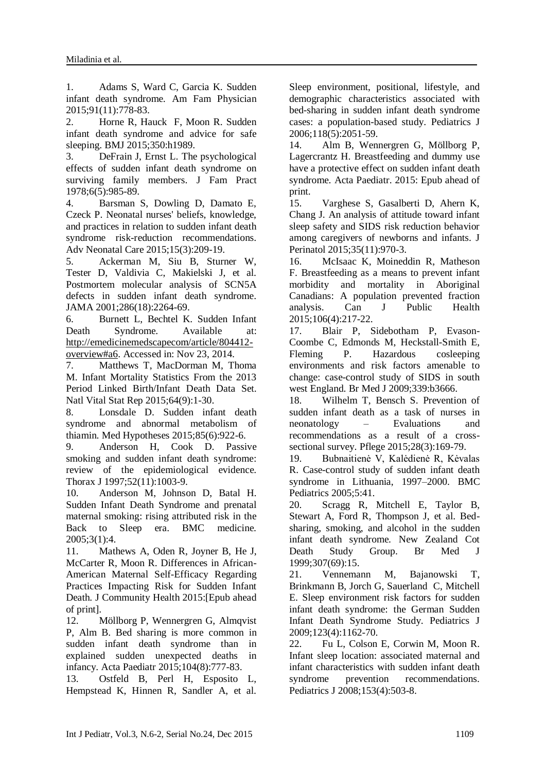1. Adams S, Ward C, Garcia K. Sudden infant death syndrome. Am Fam Physician 2015;91(11):778-83.

2. Horne R, Hauck F, Moon R. Sudden infant death syndrome and advice for safe sleeping. BMJ 2015;350:h1989.

3. DeFrain J, Ernst L. The psychological effects of sudden infant death syndrome on surviving family members. J Fam Pract 1978;6(5):985-89.

4. Barsman S, Dowling D, Damato E, Czeck P. Neonatal nurses' beliefs, knowledge, and practices in relation to sudden infant death syndrome risk-reduction recommendations. Adv Neonatal Care 2015;15(3):209-19.

5. Ackerman M, Siu B, Sturner W, Tester D, Valdivia C, Makielski J, et al. Postmortem molecular analysis of SCN5A defects in sudden infant death syndrome. JAMA 2001;286(18):2264-69.

6. Burnett L, Bechtel K. Sudden Infant Death Syndrome. Available at: [http://emedicinemedscapecom/article/804412](http://emedicinemedscapecom/article/804412-overview#a6) [overview#a6.](http://emedicinemedscapecom/article/804412-overview#a6) Accessed in: Nov 23, 2014.

7. Matthews T, MacDorman M, Thoma M. Infant Mortality Statistics From the 2013 Period Linked Birth/Infant Death Data Set. Natl Vital Stat Rep 2015;64(9):1-30.

8. Lonsdale D. Sudden infant death syndrome and abnormal metabolism of thiamin. Med Hypotheses 2015;85(6):922-6.

9. Anderson H, Cook D. Passive smoking and sudden infant death syndrome: review of the epidemiological evidence. Thorax J 1997;52(11):1003-9.

10. Anderson M, Johnson D, Batal H. Sudden Infant Death Syndrome and prenatal maternal smoking: rising attributed risk in the Back to Sleep era. BMC medicine. 2005;3(1):4.

11. Mathews A, Oden R, Joyner B, He J, McCarter R, Moon R. Differences in African-American Maternal Self-Efficacy Regarding Practices Impacting Risk for Sudden Infant Death. J Community Health 2015:[Epub ahead of print].

12. Möllborg P, Wennergren G, Almqvist P, Alm B. Bed sharing is more common in sudden infant death syndrome than in explained sudden unexpected deaths in infancy. Acta Paediatr 2015;104(8):777-83.

13. Ostfeld B, Perl H, Esposito L, Hempstead K, Hinnen R, Sandler A, et al. Sleep environment, positional, lifestyle, and demographic characteristics associated with bed-sharing in sudden infant death syndrome cases: a population-based study. Pediatrics J 2006;118(5):2051-59.

14. Alm B, Wennergren G, Möllborg P, Lagercrantz H. Breastfeeding and dummy use have a protective effect on sudden infant death syndrome. Acta Paediatr. 2015: Epub ahead of print.

15. Varghese S, Gasalberti D, Ahern K, Chang J. An analysis of attitude toward infant sleep safety and SIDS risk reduction behavior among caregivers of newborns and infants. J Perinatol 2015;35(11):970-3.

16. McIsaac K, Moineddin R, Matheson F. Breastfeeding as a means to prevent infant morbidity and mortality in Aboriginal Canadians: A population prevented fraction analysis. Can J Public Health 2015;106(4):217-22.

17. Blair P, Sidebotham P, Evason-Coombe C, Edmonds M, Heckstall-Smith E, Fleming P. Hazardous cosleeping environments and risk factors amenable to change: case-control study of SIDS in south west England. Br Med J 2009;339:b3666.

18. Wilhelm T, Bensch S. Prevention of sudden infant death as a task of nurses in neonatology – Evaluations and recommendations as a result of a crosssectional survey. Pflege 2015;28(3):169-79.

19. Bubnaitienė V, Kalėdienė R, Kėvalas R. Case-control study of sudden infant death syndrome in Lithuania, 1997–2000. BMC Pediatrics 2005;5:41.

20. Scragg R, Mitchell E, Taylor B, Stewart A, Ford R, Thompson J, et al. Bedsharing, smoking, and alcohol in the sudden infant death syndrome. New Zealand Cot Death Study Group. Br Med J 1999;307(69):15.

21. Vennemann M, Bajanowski T, Brinkmann B, Jorch G, Sauerland C, Mitchell E. Sleep environment risk factors for sudden infant death syndrome: the German Sudden Infant Death Syndrome Study. Pediatrics J 2009;123(4):1162-70.

22. Fu L, Colson E, Corwin M, Moon R. Infant sleep location: associated maternal and infant characteristics with sudden infant death syndrome prevention recommendations. Pediatrics J 2008;153(4):503-8.